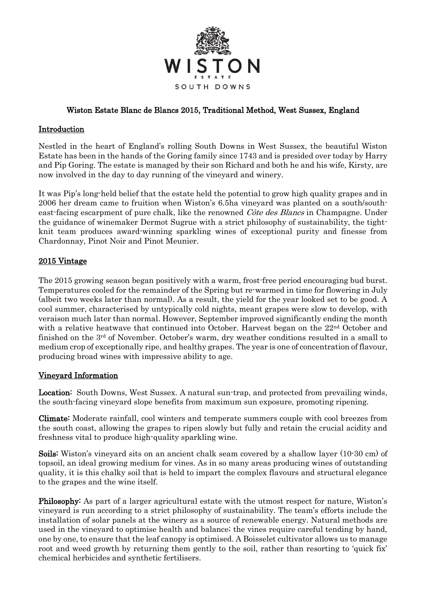

# Wiston Estate Blanc de Blancs 2015, Traditional Method, West Sussex, England

### Introduction

Nestled in the heart of England's rolling South Downs in West Sussex, the beautiful Wiston Estate has been in the hands of the Goring family since 1743 and is presided over today by Harry and Pip Goring. The estate is managed by their son Richard and both he and his wife, Kirsty, are now involved in the day to day running of the vineyard and winery.

It was Pip's long-held belief that the estate held the potential to grow high quality grapes and in 2006 her dream came to fruition when Wiston's 6.5ha vineyard was planted on a south/southeast-facing escarpment of pure chalk, like the renowned *Côte des Blancs* in Champagne. Under the guidance of winemaker Dermot Sugrue with a strict philosophy of sustainability, the tightknit team produces award-winning sparkling wines of exceptional purity and finesse from Chardonnay, Pinot Noir and Pinot Meunier.

#### 2015 Vintage

The 2015 growing season began positively with a warm, frost-free period encouraging bud burst. Temperatures cooled for the remainder of the Spring but re-warmed in time for flowering in July (albeit two weeks later than normal). As a result, the yield for the year looked set to be good. A cool summer, characterised by untypically cold nights, meant grapes were slow to develop, with veraison much later than normal. However, September improved significantly ending the month with a relative heatwave that continued into October. Harvest began on the  $22<sup>nd</sup>$  October and finished on the  $3<sup>rd</sup>$  of November. October's warm, dry weather conditions resulted in a small to medium crop of exceptionally ripe, and healthy grapes. The year is one of concentration of flavour, producing broad wines with impressive ability to age.

# Vineyard Information

Location: South Downs, West Sussex. A natural sun-trap, and protected from prevailing winds, the south-facing vineyard slope benefits from maximum sun exposure, promoting ripening.

Climate: Moderate rainfall, cool winters and temperate summers couple with cool breezes from the south coast, allowing the grapes to ripen slowly but fully and retain the crucial acidity and freshness vital to produce high-quality sparkling wine.

Soils: Wiston's vineyard sits on an ancient chalk seam covered by a shallow layer (10-30 cm) of topsoil, an ideal growing medium for vines. As in so many areas producing wines of outstanding quality, it is this chalky soil that is held to impart the complex flavours and structural elegance to the grapes and the wine itself.

Philosophy: As part of a larger agricultural estate with the utmost respect for nature, Wiston's vineyard is run according to a strict philosophy of sustainability. The team's efforts include the installation of solar panels at the winery as a source of renewable energy. Natural methods are used in the vineyard to optimise health and balance; the vines require careful tending by hand, one by one, to ensure that the leaf canopy is optimised. A Boisselet cultivator allows us to manage root and weed growth by returning them gently to the soil, rather than resorting to 'quick fix' chemical herbicides and synthetic fertilisers.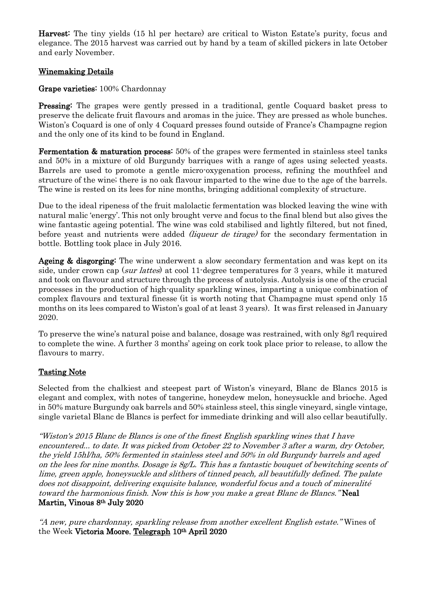Harvest: The tiny yields (15 hl per hectare) are critical to Wiston Estate's purity, focus and elegance. The 2015 harvest was carried out by hand by a team of skilled pickers in late October and early November.

# Winemaking Details

#### Grape varieties: 100% Chardonnay

Pressing: The grapes were gently pressed in a traditional, gentle Coquard basket press to preserve the delicate fruit flavours and aromas in the juice. They are pressed as whole bunches. Wiston's Coquard is one of only 4 Coquard presses found outside of France's Champagne region and the only one of its kind to be found in England.

Fermentation & maturation process: 50% of the grapes were fermented in stainless steel tanks and 50% in a mixture of old Burgundy barriques with a range of ages using selected yeasts. Barrels are used to promote a gentle micro-oxygenation process, refining the mouthfeel and structure of the wine; there is no oak flavour imparted to the wine due to the age of the barrels. The wine is rested on its lees for nine months, bringing additional complexity of structure.

Due to the ideal ripeness of the fruit malolactic fermentation was blocked leaving the wine with natural malic 'energy'. This not only brought verve and focus to the final blend but also gives the wine fantastic ageing potential. The wine was cold stabilised and lightly filtered, but not fined, before yeast and nutrients were added *(liqueur de tirage)* for the secondary fermentation in bottle. Bottling took place in July 2016.

Ageing & disgorging: The wine underwent a slow secondary fermentation and was kept on its side, under crown cap (sur lattes) at cool 11-degree temperatures for 3 years, while it matured and took on flavour and structure through the process of autolysis. Autolysis is one of the crucial processes in the production of high-quality sparkling wines, imparting a unique combination of complex flavours and textural finesse (it is worth noting that Champagne must spend only 15 months on its lees compared to Wiston's goal of at least 3 years). It was first released in January 2020.

To preserve the wine's natural poise and balance, dosage was restrained, with only 8g/l required to complete the wine. A further 3 months' ageing on cork took place prior to release, to allow the flavours to marry.

# Tasting Note

Selected from the chalkiest and steepest part of Wiston's vineyard, Blanc de Blancs 2015 is elegant and complex, with notes of tangerine, honeydew melon, honeysuckle and brioche. Aged in 50% mature Burgundy oak barrels and 50% stainless steel, this single vineyard, single vintage, single varietal Blanc de Blancs is perfect for immediate drinking and will also cellar beautifully.

"Wiston's 2015 Blanc de Blancs is one of the finest English sparkling wines that I have encountered... to date. It was picked from October 22 to November 3 after a warm, dry October, the yield 15hl/ha, 50% fermented in stainless steel and 50% in old Burgundy barrels and aged on the lees for nine months. Dosage is 8g/L. This has a fantastic bouquet of bewitching scents of lime, green apple, honeysuckle and slithers of tinned peach, all beautifully defined. The palate does not disappoint, delivering exquisite balance, wonderful focus and a touch of mineralité toward the harmonious finish. Now this is how you make a great Blanc de Blancs." Neal Martin, Vinous 8th July 2020

"A new, pure chardonnay, sparkling release from another excellent English estate." Wines of the Week Victoria Moore, [Telegraph](https://www.telegraph.co.uk/food-and-drink/wine/social-media-speed-picking-vineyards-saving-harvests-lockdown/) 10th April 2020